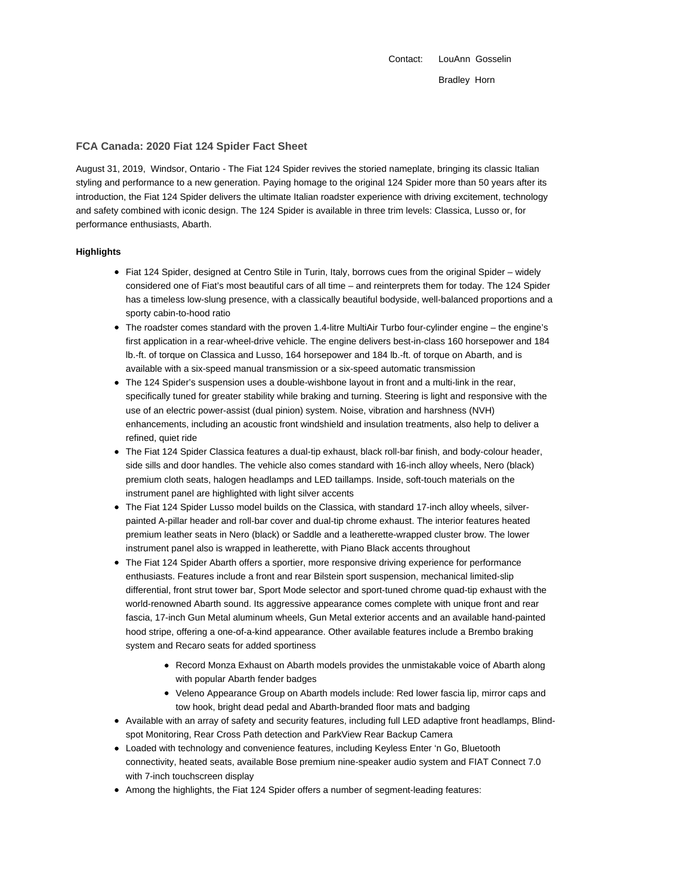Contact: LouAnn Gosselin Bradley Horn

### **FCA Canada: 2020 Fiat 124 Spider Fact Sheet**

August 31, 2019, Windsor, Ontario - The Fiat 124 Spider revives the storied nameplate, bringing its classic Italian styling and performance to a new generation. Paying homage to the original 124 Spider more than 50 years after its introduction, the Fiat 124 Spider delivers the ultimate Italian roadster experience with driving excitement, technology and safety combined with iconic design. The 124 Spider is available in three trim levels: Classica, Lusso or, for performance enthusiasts, Abarth.

### **Highlights**

- Fiat 124 Spider, designed at Centro Stile in Turin, Italy, borrows cues from the original Spider widely considered one of Fiat's most beautiful cars of all time – and reinterprets them for today. The 124 Spider has a timeless low-slung presence, with a classically beautiful bodyside, well-balanced proportions and a sporty cabin-to-hood ratio
- The roadster comes standard with the proven 1.4-litre MultiAir Turbo four-cylinder engine the engine's first application in a rear-wheel-drive vehicle. The engine delivers best-in-class 160 horsepower and 184 lb.-ft. of torque on Classica and Lusso, 164 horsepower and 184 lb.-ft. of torque on Abarth, and is available with a six-speed manual transmission or a six-speed automatic transmission
- The 124 Spider's suspension uses a double-wishbone layout in front and a multi-link in the rear, specifically tuned for greater stability while braking and turning. Steering is light and responsive with the use of an electric power-assist (dual pinion) system. Noise, vibration and harshness (NVH) enhancements, including an acoustic front windshield and insulation treatments, also help to deliver a refined, quiet ride
- The Fiat 124 Spider Classica features a dual-tip exhaust, black roll-bar finish, and body-colour header, side sills and door handles. The vehicle also comes standard with 16-inch alloy wheels, Nero (black) premium cloth seats, halogen headlamps and LED taillamps. Inside, soft-touch materials on the instrument panel are highlighted with light silver accents
- The Fiat 124 Spider Lusso model builds on the Classica, with standard 17-inch alloy wheels, silverpainted A-pillar header and roll-bar cover and dual-tip chrome exhaust. The interior features heated premium leather seats in Nero (black) or Saddle and a leatherette-wrapped cluster brow. The lower instrument panel also is wrapped in leatherette, with Piano Black accents throughout
- The Fiat 124 Spider Abarth offers a sportier, more responsive driving experience for performance enthusiasts. Features include a front and rear Bilstein sport suspension, mechanical limited-slip differential, front strut tower bar, Sport Mode selector and sport-tuned chrome quad-tip exhaust with the world-renowned Abarth sound. Its aggressive appearance comes complete with unique front and rear fascia, 17-inch Gun Metal aluminum wheels, Gun Metal exterior accents and an available hand-painted hood stripe, offering a one-of-a-kind appearance. Other available features include a Brembo braking system and Recaro seats for added sportiness
	- Record Monza Exhaust on Abarth models provides the unmistakable voice of Abarth along with popular Abarth fender badges
	- Veleno Appearance Group on Abarth models include: Red lower fascia lip, mirror caps and tow hook, bright dead pedal and Abarth-branded floor mats and badging
- Available with an array of safety and security features, including full LED adaptive front headlamps, Blindspot Monitoring, Rear Cross Path detection and ParkView Rear Backup Camera
- Loaded with technology and convenience features, including Keyless Enter 'n Go, Bluetooth connectivity, heated seats, available Bose premium nine-speaker audio system and FIAT Connect 7.0 with 7-inch touchscreen display
- Among the highlights, the Fiat 124 Spider offers a number of segment-leading features: